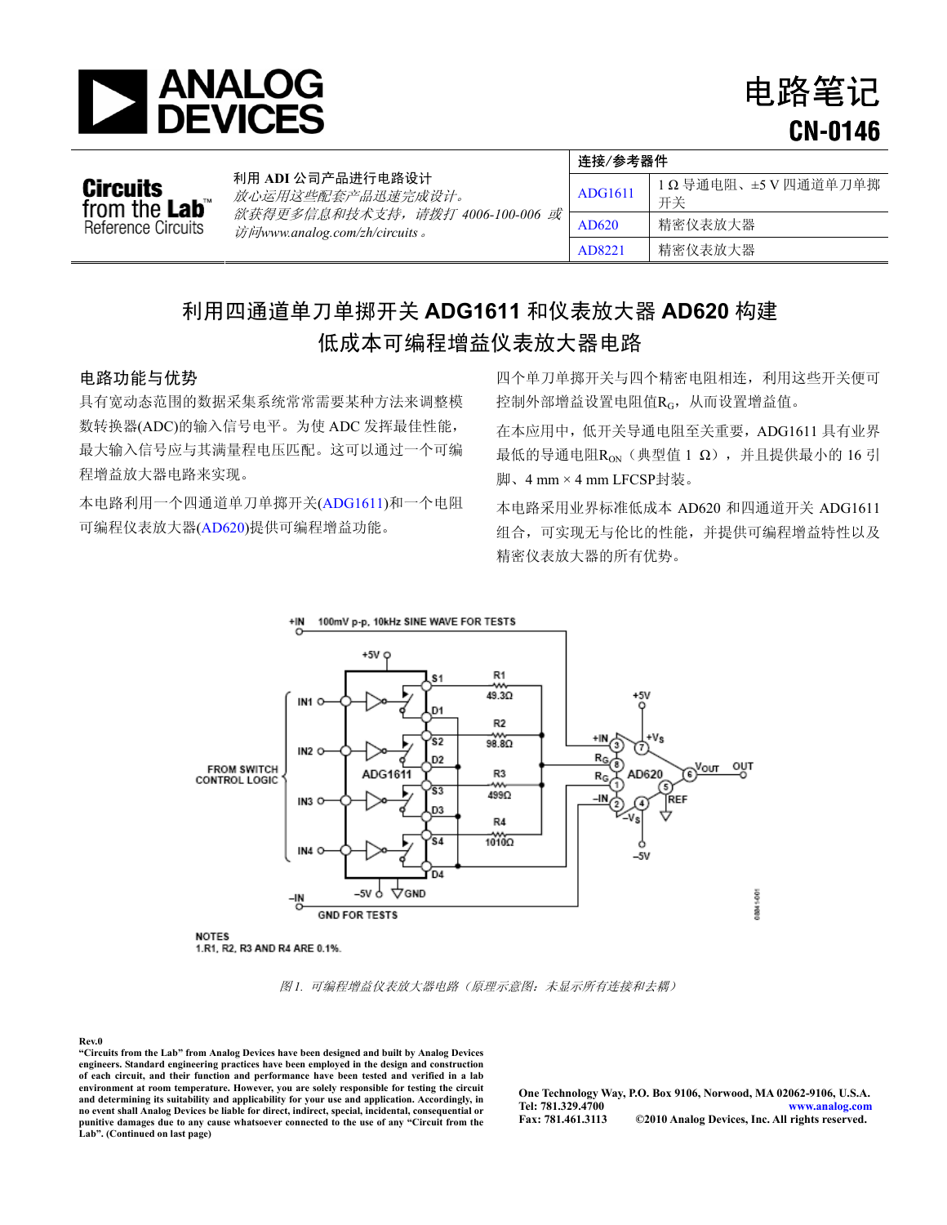

电路笔记 **CN-0146**

|                                                         | 利用 ADI 公司产品进行电路设计<br>放心运用这些配套产品迅速完成设计。<br>欲获得更多信息和技术支持,请拨打 4006-100-006 或<br>访问www.analog.com/zh/circuits 。 | 连接/参考器件        |                         |  |
|---------------------------------------------------------|-------------------------------------------------------------------------------------------------------------|----------------|-------------------------|--|
| Circuits<br>from the <b>Lab</b> ™<br>Reference Circuits |                                                                                                             | <b>ADG1611</b> | 1Ω导通电阻、±5V四通道单刀单掷<br>开关 |  |
|                                                         |                                                                                                             | AD620          | 精密仪表放大器                 |  |
|                                                         |                                                                                                             | AD8221         | 精密仪表放大器                 |  |

# 利用四通道单刀单掷开关 **ADG1611** 和仪表放大器 **AD620** 构建 低成本可编程增益仪表放大器电路

具有宽动态范围的数据采集系统常常需要某种方法来调整模 数转换器(ADC)的输入信号电平。为使 ADC 发挥最佳性能, 最大输入信号应与其满量程电压匹配。这可以通过一个可编 程增益放大器电路来实现。

本电路利用一个四通道单刀单掷开关([ADG1611](http://www.analog.com/zh/switchesmultiplexers/analog-switches/adg1611/products/product.html))和一个电阻 可编程仪表放大器( [AD620](http://www.analog.com/zh/other-products/militaryaerospace/ad620/products/product.html))提供可编程增益功能。

电路功能与优势 四个单刀单掷开关与四个精密电阻相连,利用这些开关便可 控制外部增益设置电阻值RG, 从而设置增益值。

> 在本应用中,低开关导通电阻至关重要,ADG1611 具有业界 最低的导通电阻 $R_{ON}$  (典型值 1 Ω), 并且提供最小的 16 引 脚、4 mm × 4 mm LFCSP封装。

> 本电路采用业界标准低成本 AD620 和四通道开关 ADG1611 组合,可实现无与伦比的性能,并提供可编程增益特性以及 精密仪表放大器的所有优势。



图 *1.* 可编程增益仪表放大器电路(原理示意图:未显示所有连接和去耦)

### **Rev.0**

**"Circuits from the Lab" from Analog Devices have been designed and built by Analog Devices engineers. Standard engineering practices have been employed in the design and construction of each circuit, and their function and performance have been tested and verified in a lab**  environment at room temperature. However, you are solely responsible for testing the circuit<br>and determining its suitability and applicability for your use and application. Accordingly, in<br>no event shall Analog Devices be punitive damages due to any cause whatsoever connected to the use of any "Circuit from the **Lab". (Continued on last page)**

**One Technology Way, P.O. Box 9106, Norwood, MA 02062-9106, U.S.A. Tel: 781.329.4700 [www.analog.com](http://www.analog.com/zh/index.html)**   $©2010$  Analog Devices, Inc. All rights reserved.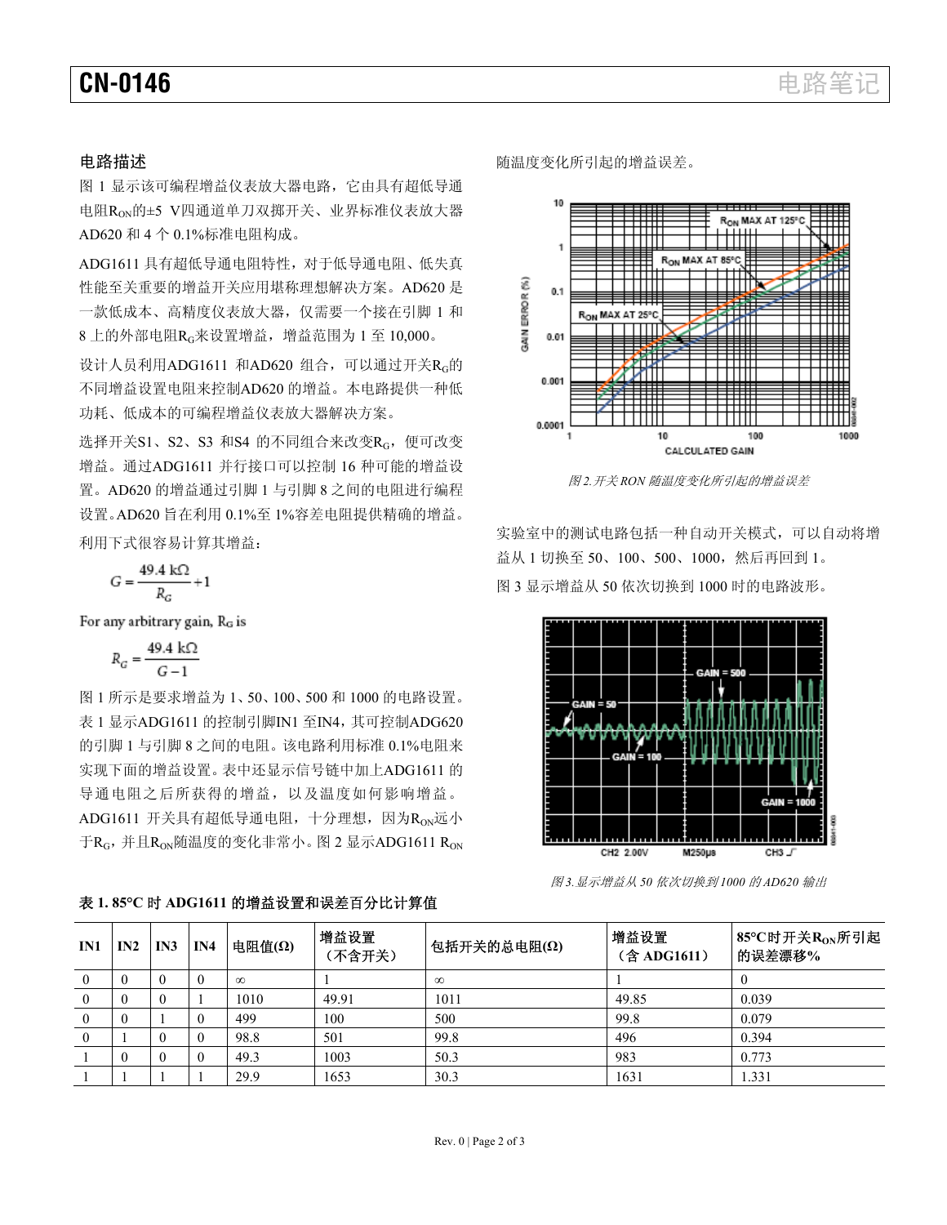图 1 显示该可编程增益仪表放大器电路,它由具有超低导通 电阻RON的±5 V四通道单刀双掷开关、业界标准仪表放大器 AD620 和 4 个 0.1%标准电阻构成。

ADG1611 具有超低导通电阻特性,对于低导通电阻、低失真 性能至关重要的增益开关应用堪称理想解决方案。AD620 是 一款低成本、高精度仪表放大器,仅需要一个接在引脚 1 和 8 上的外部电阻RG来设置增益,增益范围为 1 至 10,000。

设计人员利用ADG1611 和AD620 组合,可以通过开关RG的 不同增益设置电阻来控制AD620 的增益。本电路提供一种低 功耗、低成本的可编程增益仪表放大器解决方案。

选择开关S1、S2、S3 和S4 的不同组合来改变RG, 便可改变 增益。通过ADG1611 并行接口可以控制 16 种可能的增益设 置。AD620 的增益通过引脚 1 与引脚 8 之间的电阻进行编程 设置。AD620 旨在利用 0.1%至 1%容差电阻提供精确的增益。

$$
G = \frac{49.4 \text{ k}\Omega}{R_G} + 1
$$

For any arbitrary gain, RG is

$$
R_G = \frac{49.4 \text{ k}\Omega}{G - 1}
$$

图 1 所示是要求增益为 1、50、100、500 和 1000 的电路设置。 表 1 显示ADG1611 的控制引脚IN1 至IN4,其可控制ADG620 的引脚 1 与引脚 8 之间的电阻。该电路利用标准 0.1%电阻来 实现下面的增益设置。表中还显示信号链中加上ADG1611 的 导通电阻之后所获得的增益,以及温度如何影响增益。 ADG1611 开关具有超低导通电阻, 十分理想, 因为RoN远小 于 $R_G$ , 并且 $R_{ON}$ 随温度的变化非常小。图 2 显示ADG1611  $R_{ON}$ 

表 **1. 85°C** 时 **ADG1611** 的增益设置和误差百分比计算值

电路描述 有效的 医二十二十二十二十二十一 医温度变化所引起的增益误差。



图 *2.*开关 *RON* 随温度变化所引起的增益误差

实验室中的测试电路包括一种自动开关模式,可以自动将增 益从 <sup>1</sup> 切换至 <sup>50</sup>、100、500、1000,然后再回到 <sup>1</sup>。 利用下式很容易计算其增益: 图 3 显示增益从 50 依次切换到 1000 时的电路波形。



图 *3.*显示增益从 *50* 依次切换到 *1000* 的 *AD620* 输出

| IN1      | IN2      | IN3 | IN4 | 电阻值(Ω)   | 增益设置<br>(不含开关) | 包括开关的总电阻(Ω) | 增益设置<br>(含 ADG1611) | 85°C时开关R <sub>ON</sub> 所引起<br>的误差漂移% |
|----------|----------|-----|-----|----------|----------------|-------------|---------------------|--------------------------------------|
| $\Omega$ | $\theta$ |     |     | $\infty$ |                | $\infty$    |                     |                                      |
|          |          |     |     | 1010     | 49.91          | 1011        | 49.85               | 0.039                                |
| $\bf{0}$ | $\theta$ |     |     | 499      | 100            | 500         | 99.8                | 0.079                                |
| $\Omega$ |          |     |     | 98.8     | 501            | 99.8        | 496                 | 0.394                                |
|          | $\theta$ |     |     | 49.3     | 1003           | 50.3        | 983                 | 0.773                                |
|          |          |     |     | 29.9     | 1653           | 30.3        | 1631                | 1.331                                |